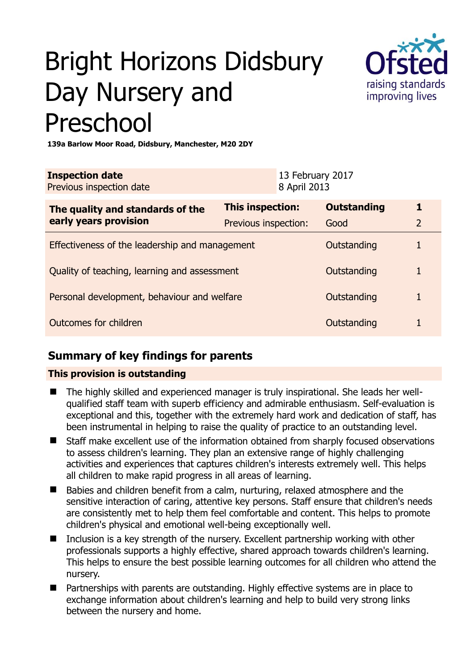# Bright Horizons Didsbury Day Nursery and Preschool



**139a Barlow Moor Road, Didsbury, Manchester, M20 2DY** 

| <b>Inspection date</b><br>Previous inspection date        |                      | 13 February 2017<br>8 April 2013 |                    |                |
|-----------------------------------------------------------|----------------------|----------------------------------|--------------------|----------------|
| The quality and standards of the<br>early years provision | This inspection:     |                                  | <b>Outstanding</b> | 1              |
|                                                           | Previous inspection: |                                  | Good               | $\overline{2}$ |
| Effectiveness of the leadership and management            |                      |                                  | Outstanding        | 1              |
| Quality of teaching, learning and assessment              |                      |                                  | Outstanding        |                |
| Personal development, behaviour and welfare               |                      |                                  | Outstanding        |                |
| Outcomes for children                                     |                      |                                  | Outstanding        |                |

## **Summary of key findings for parents**

## **This provision is outstanding**

- The highly skilled and experienced manager is truly inspirational. She leads her wellqualified staff team with superb efficiency and admirable enthusiasm. Self-evaluation is exceptional and this, together with the extremely hard work and dedication of staff, has been instrumental in helping to raise the quality of practice to an outstanding level.
- Staff make excellent use of the information obtained from sharply focused observations to assess children's learning. They plan an extensive range of highly challenging activities and experiences that captures children's interests extremely well. This helps all children to make rapid progress in all areas of learning.
- Babies and children benefit from a calm, nurturing, relaxed atmosphere and the sensitive interaction of caring, attentive key persons. Staff ensure that children's needs are consistently met to help them feel comfortable and content. This helps to promote children's physical and emotional well-being exceptionally well.
- Inclusion is a key strength of the nursery. Excellent partnership working with other professionals supports a highly effective, shared approach towards children's learning. This helps to ensure the best possible learning outcomes for all children who attend the nursery.
- Partnerships with parents are outstanding. Highly effective systems are in place to exchange information about children's learning and help to build very strong links between the nursery and home.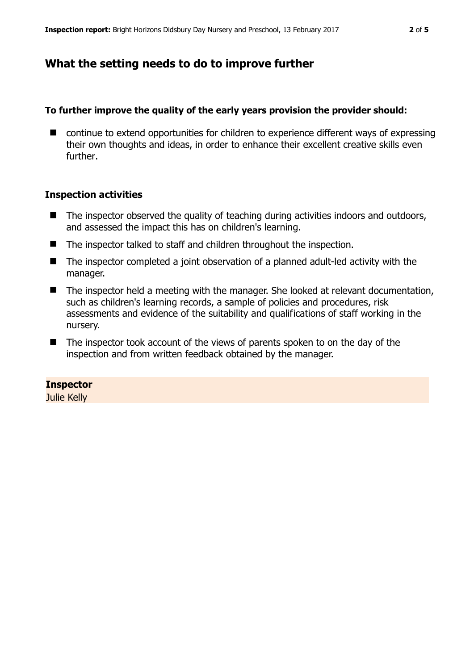# **What the setting needs to do to improve further**

## **To further improve the quality of the early years provision the provider should:**

■ continue to extend opportunities for children to experience different ways of expressing their own thoughts and ideas, in order to enhance their excellent creative skills even further.

## **Inspection activities**

- $\blacksquare$  The inspector observed the quality of teaching during activities indoors and outdoors, and assessed the impact this has on children's learning.
- The inspector talked to staff and children throughout the inspection.
- The inspector completed a joint observation of a planned adult-led activity with the manager.
- The inspector held a meeting with the manager. She looked at relevant documentation, such as children's learning records, a sample of policies and procedures, risk assessments and evidence of the suitability and qualifications of staff working in the nursery.
- The inspector took account of the views of parents spoken to on the day of the inspection and from written feedback obtained by the manager.

## **Inspector**

Julie Kelly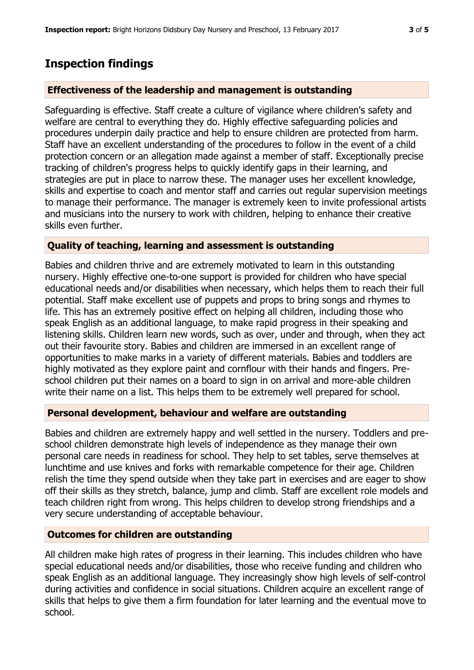# **Inspection findings**

#### **Effectiveness of the leadership and management is outstanding**

Safeguarding is effective. Staff create a culture of vigilance where children's safety and welfare are central to everything they do. Highly effective safeguarding policies and procedures underpin daily practice and help to ensure children are protected from harm. Staff have an excellent understanding of the procedures to follow in the event of a child protection concern or an allegation made against a member of staff. Exceptionally precise tracking of children's progress helps to quickly identify gaps in their learning, and strategies are put in place to narrow these. The manager uses her excellent knowledge, skills and expertise to coach and mentor staff and carries out regular supervision meetings to manage their performance. The manager is extremely keen to invite professional artists and musicians into the nursery to work with children, helping to enhance their creative skills even further.

#### **Quality of teaching, learning and assessment is outstanding**

Babies and children thrive and are extremely motivated to learn in this outstanding nursery. Highly effective one-to-one support is provided for children who have special educational needs and/or disabilities when necessary, which helps them to reach their full potential. Staff make excellent use of puppets and props to bring songs and rhymes to life. This has an extremely positive effect on helping all children, including those who speak English as an additional language, to make rapid progress in their speaking and listening skills. Children learn new words, such as over, under and through, when they act out their favourite story. Babies and children are immersed in an excellent range of opportunities to make marks in a variety of different materials. Babies and toddlers are highly motivated as they explore paint and cornflour with their hands and fingers. Preschool children put their names on a board to sign in on arrival and more-able children write their name on a list. This helps them to be extremely well prepared for school.

#### **Personal development, behaviour and welfare are outstanding**

Babies and children are extremely happy and well settled in the nursery. Toddlers and preschool children demonstrate high levels of independence as they manage their own personal care needs in readiness for school. They help to set tables, serve themselves at lunchtime and use knives and forks with remarkable competence for their age. Children relish the time they spend outside when they take part in exercises and are eager to show off their skills as they stretch, balance, jump and climb. Staff are excellent role models and teach children right from wrong. This helps children to develop strong friendships and a very secure understanding of acceptable behaviour.

#### **Outcomes for children are outstanding**

All children make high rates of progress in their learning. This includes children who have special educational needs and/or disabilities, those who receive funding and children who speak English as an additional language. They increasingly show high levels of self-control during activities and confidence in social situations. Children acquire an excellent range of skills that helps to give them a firm foundation for later learning and the eventual move to school.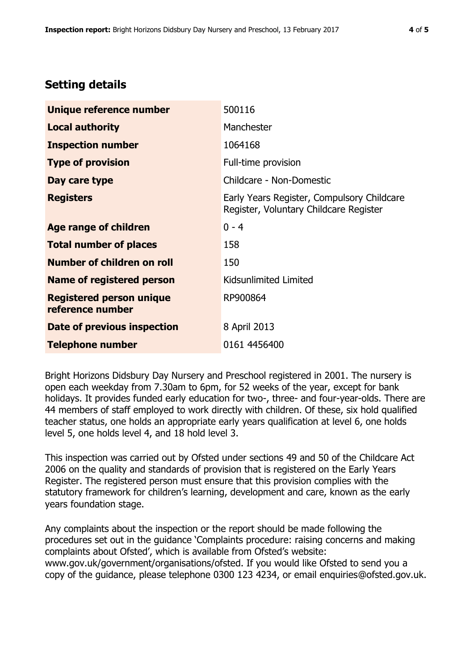# **Setting details**

| Unique reference number                             | 500116                                                                               |  |
|-----------------------------------------------------|--------------------------------------------------------------------------------------|--|
| <b>Local authority</b>                              | Manchester                                                                           |  |
| <b>Inspection number</b>                            | 1064168                                                                              |  |
| <b>Type of provision</b>                            | Full-time provision                                                                  |  |
| Day care type                                       | Childcare - Non-Domestic                                                             |  |
| <b>Registers</b>                                    | Early Years Register, Compulsory Childcare<br>Register, Voluntary Childcare Register |  |
| Age range of children                               | $0 - 4$                                                                              |  |
| <b>Total number of places</b>                       | 158                                                                                  |  |
| Number of children on roll                          | 150                                                                                  |  |
| Name of registered person                           | Kidsunlimited Limited                                                                |  |
| <b>Registered person unique</b><br>reference number | RP900864                                                                             |  |
| Date of previous inspection                         | 8 April 2013                                                                         |  |
| <b>Telephone number</b>                             | 0161 4456400                                                                         |  |

Bright Horizons Didsbury Day Nursery and Preschool registered in 2001. The nursery is open each weekday from 7.30am to 6pm, for 52 weeks of the year, except for bank holidays. It provides funded early education for two-, three- and four-year-olds. There are 44 members of staff employed to work directly with children. Of these, six hold qualified teacher status, one holds an appropriate early years qualification at level 6, one holds level 5, one holds level 4, and 18 hold level 3.

This inspection was carried out by Ofsted under sections 49 and 50 of the Childcare Act 2006 on the quality and standards of provision that is registered on the Early Years Register. The registered person must ensure that this provision complies with the statutory framework for children's learning, development and care, known as the early years foundation stage.

Any complaints about the inspection or the report should be made following the procedures set out in the guidance 'Complaints procedure: raising concerns and making complaints about Ofsted', which is available from Ofsted's website: www.gov.uk/government/organisations/ofsted. If you would like Ofsted to send you a copy of the guidance, please telephone 0300 123 4234, or email enquiries@ofsted.gov.uk.